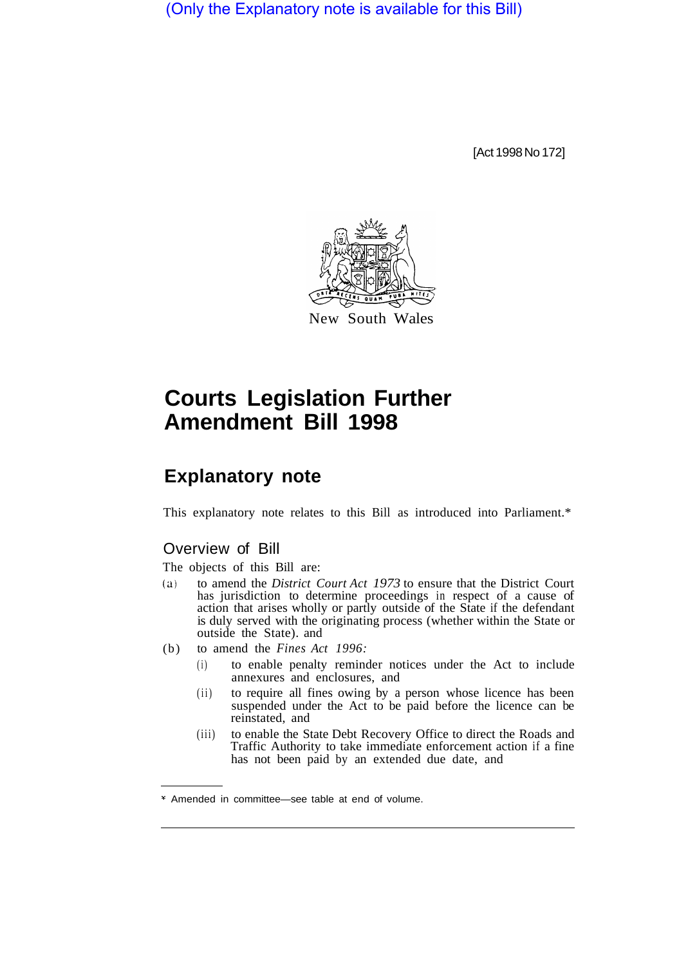(Only the Explanatory note is available for this Bill)

[Act 1998 No 172]



## **Courts Legislation Further Amendment Bill 1998**

## **Explanatory note**

This explanatory note relates to this Bill as introduced into Parliament.\*

## Overview of Bill

The objects of this Bill are:

- (a) to amend the *District Court Act 1973* to ensure that the District Court has jurisdiction to determine proceedings in respect of a cause of action that arises wholly or partly outside of the State if the defendant is duly served with the originating process (whether within the State or outside the State). and
- (b) to amend the *Fines Act 1996:* 
	- (i) to enable penalty reminder notices under the Act to include annexures and enclosures, and
	- (ii) to require all fines owing by a person whose licence has been suspended under the Act to be paid before the licence can be reinstated, and
	- (iii) to enable the State Debt Recovery Office to direct the Roads and Traffic Authority to take immediate enforcement action if a fine has not been paid by an extended due date, and

Amended in committee—see table at end of volume.